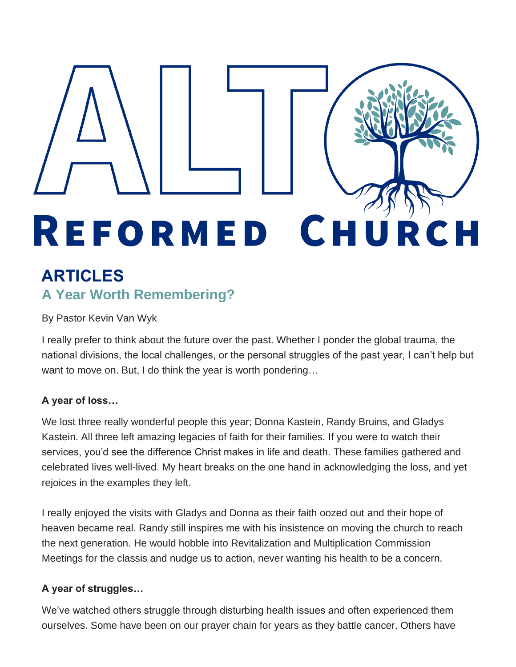# REFORMED CHUR C H

# **ARTICLES A Year Worth Remembering?**

## By Pastor Kevin Van Wyk

I really prefer to think about the future over the past. Whether I ponder the global trauma, the national divisions, the local challenges, or the personal struggles of the past year, I can't help but want to move on. But, I do think the year is worth pondering…

## **A year of loss…**

We lost three really wonderful people this year; Donna Kastein, Randy Bruins, and Gladys Kastein. All three left amazing legacies of faith for their families. If you were to watch their services, you'd see the difference Christ makes in life and death. These families gathered and celebrated lives well-lived. My heart breaks on the one hand in acknowledging the loss, and yet rejoices in the examples they left.

I really enjoyed the visits with Gladys and Donna as their faith oozed out and their hope of heaven became real. Randy still inspires me with his insistence on moving the church to reach the next generation. He would hobble into Revitalization and Multiplication Commission Meetings for the classis and nudge us to action, never wanting his health to be a concern.

## **A year of struggles…**

We've watched others struggle through disturbing health issues and often experienced them ourselves. Some have been on our prayer chain for years as they battle cancer. Others have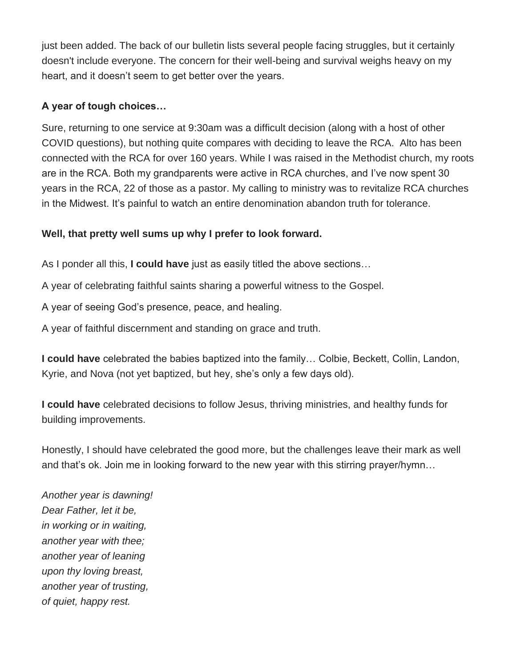just been added. The back of our bulletin lists several people facing struggles, but it certainly doesn't include everyone. The concern for their well-being and survival weighs heavy on my heart, and it doesn't seem to get better over the years.

### **A year of tough choices…**

Sure, returning to one service at 9:30am was a difficult decision (along with a host of other COVID questions), but nothing quite compares with deciding to leave the RCA. Alto has been connected with the RCA for over 160 years. While I was raised in the Methodist church, my roots are in the RCA. Both my grandparents were active in RCA churches, and I've now spent 30 years in the RCA, 22 of those as a pastor. My calling to ministry was to revitalize RCA churches in the Midwest. It's painful to watch an entire denomination abandon truth for tolerance.

#### **Well, that pretty well sums up why I prefer to look forward.**

As I ponder all this, **I could have** just as easily titled the above sections…

A year of celebrating faithful saints sharing a powerful witness to the Gospel.

A year of seeing God's presence, peace, and healing.

A year of faithful discernment and standing on grace and truth.

**I could have** celebrated the babies baptized into the family… Colbie, Beckett, Collin, Landon, Kyrie, and Nova (not yet baptized, but hey, she's only a few days old).

**I could have** celebrated decisions to follow Jesus, thriving ministries, and healthy funds for building improvements.

Honestly, I should have celebrated the good more, but the challenges leave their mark as well and that's ok. Join me in looking forward to the new year with this stirring prayer/hymn…

*Another year is dawning! Dear Father, let it be, in working or in waiting, another year with thee; another year of leaning upon thy loving breast, another year of trusting, of quiet, happy rest.*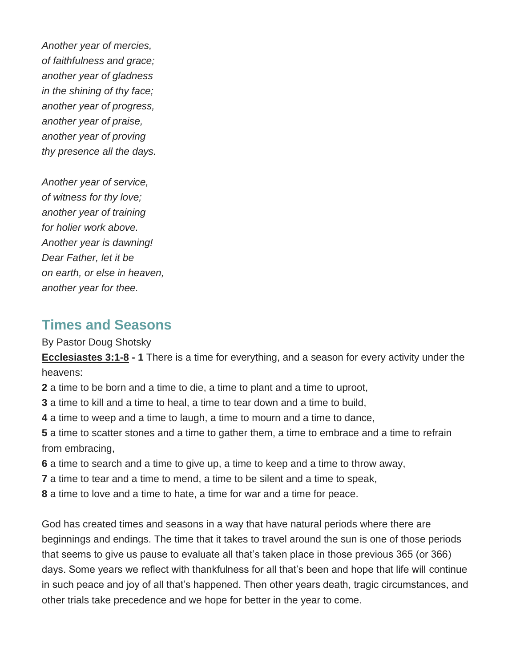*Another year of mercies, of faithfulness and grace; another year of gladness in the shining of thy face; another year of progress, another year of praise, another year of proving thy presence all the days.*

*Another year of service, of witness for thy love; another year of training for holier work above. Another year is dawning! Dear Father, let it be on earth, or else in heaven, another year for thee.*

# **Times and Seasons**

By Pastor Doug Shotsky

**Ecclesiastes 3:1-8 - 1** There is a time for everything, and a season for every activity under the heavens:

**2** a time to be born and a time to die, a time to plant and a time to uproot,

**3** a time to kill and a time to heal, a time to tear down and a time to build,

**4** a time to weep and a time to laugh, a time to mourn and a time to dance,

**5** a time to scatter stones and a time to gather them, a time to embrace and a time to refrain from embracing,

**6** a time to search and a time to give up, a time to keep and a time to throw away,

**7** a time to tear and a time to mend, a time to be silent and a time to speak,

**8** a time to love and a time to hate, a time for war and a time for peace.

God has created times and seasons in a way that have natural periods where there are beginnings and endings. The time that it takes to travel around the sun is one of those periods that seems to give us pause to evaluate all that's taken place in those previous 365 (or 366) days. Some years we reflect with thankfulness for all that's been and hope that life will continue in such peace and joy of all that's happened. Then other years death, tragic circumstances, and other trials take precedence and we hope for better in the year to come.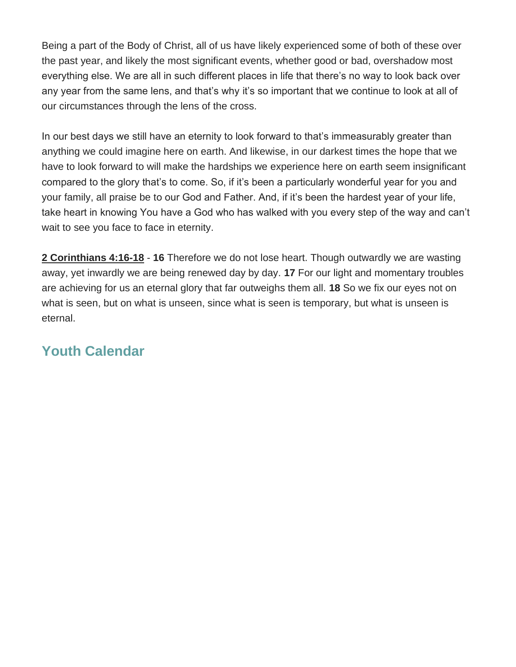Being a part of the Body of Christ, all of us have likely experienced some of both of these over the past year, and likely the most significant events, whether good or bad, overshadow most everything else. We are all in such different places in life that there's no way to look back over any year from the same lens, and that's why it's so important that we continue to look at all of our circumstances through the lens of the cross.

In our best days we still have an eternity to look forward to that's immeasurably greater than anything we could imagine here on earth. And likewise, in our darkest times the hope that we have to look forward to will make the hardships we experience here on earth seem insignificant compared to the glory that's to come. So, if it's been a particularly wonderful year for you and your family, all praise be to our God and Father. And, if it's been the hardest year of your life, take heart in knowing You have a God who has walked with you every step of the way and can't wait to see you face to face in eternity.

**2 Corinthians 4:16-18** - **16** Therefore we do not lose heart. Though outwardly we are wasting away, yet inwardly we are being renewed day by day. **17** For our light and momentary troubles are achieving for us an eternal glory that far outweighs them all. **18** So we fix our eyes not on what is seen, but on what is unseen, since what is seen is temporary, but what is unseen is eternal.

# **Youth Calendar**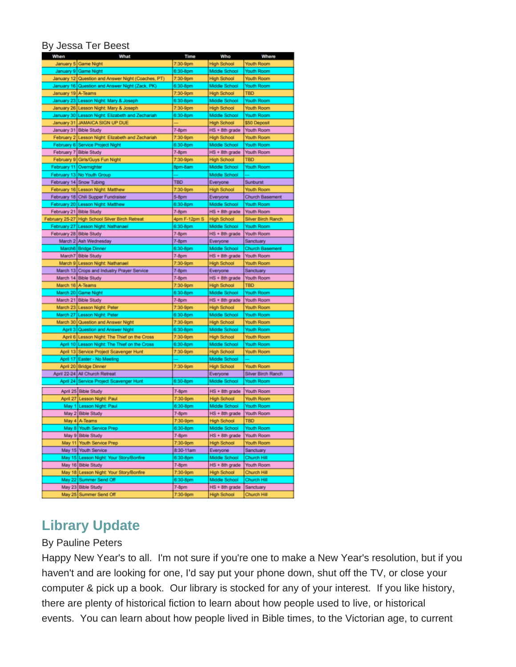#### By Jessa Ter Beest

| When                    | What                                               | <b>Time</b>  | Who                                  | Where                     |
|-------------------------|----------------------------------------------------|--------------|--------------------------------------|---------------------------|
|                         | January 5 Game Night                               | 7:30-9pm     | <b>High School</b>                   | Youth Room                |
|                         | January 9 Game Night                               | 6:30-8pm     | Middle School                        | Youth Room                |
|                         | January 12 Question and Answer Night (Coaches, PT) | 7:30-9pm     | <b>High School</b>                   | Youth Room                |
|                         | January 16 Question and Answer Night (Zack, PK)    | 6:30-8pm     | Middle School                        | Youth Room                |
| January 19 A-Teams      |                                                    | 7:30-9pm     | <b>High School</b>                   | <b>TBD</b>                |
|                         | January 23 Lesson Night: Mary & Joseph             | 6:30-8pm     | Middle School                        | Youth Room                |
|                         | January 26 Lesson Night: Mary & Joseph             | 7:30-9pm     | <b>High School</b>                   | Youth Room                |
|                         | January 30 Lesson Night: Elizabeth and Zechariah   | 6:30-8pm     | Middle School                        | Youth Room                |
|                         | January 31 JAMAICA SIGN UP DUE                     |              | <b>High School</b>                   | \$50 Deposit              |
|                         | January 31 Bible Study                             | $7-8pm$      |                                      | <b>Youth Room</b>         |
|                         |                                                    |              | HS + 8th grade                       | <b>Youth Room</b>         |
|                         | February 2 Lesson Night: Elizabeth and Zechariah   | 7:30-9pm     | <b>High School</b>                   |                           |
|                         | February 6 Service Project Night                   | 6:30-8pm     | Middle School                        | <b>Youth Room</b>         |
|                         | February 7 Bible Study                             | $7-8pm$      | HS + 8th grade                       | <b>Youth Room</b>         |
|                         | February 9 Girls/Guys Fun Night                    | 7:30-9pm     | <b>High School</b>                   | <b>TBD</b>                |
| February 11 Overnighter |                                                    | 8pm-8am      | Middle School                        | <b>Youth Room</b>         |
|                         | February 13 No Youth Group                         |              | Middle School                        |                           |
|                         | February 14 Snow Tubing                            | <b>TBD</b>   | Everyone                             | Sunburst                  |
|                         | February 16 Lesson Night: Matthew                  | 7:30-9pm     | <b>High School</b>                   | <b>Youth Room</b>         |
|                         | February 18 Chili Supper Fundraiser                | $5-8pm$      | Everyone                             | <b>Church Basement</b>    |
|                         | February 20   Lesson Night: Matthew                | 6:30-8pm     | Middle School                        | <b>Youth Room</b>         |
| February 21 Bible Study |                                                    | $7-8pm$      | HS + 8th grade                       | Youth Room                |
|                         | February 25-27 High School Silver Birch Retreat    | 4pm F-12pm S | <b>High School</b>                   | <b>Silver Birch Ranch</b> |
|                         | February 27 Lesson Night: Nathanael                | 6:30-8pm     | Middle School                        | <b>Youth Room</b>         |
| February 28 Bible Study |                                                    | $7-8pm$      | HS + 8th grade                       | <b>Youth Room</b>         |
|                         | March 2 Ash Wednesday                              | $7-8pm$      | Everyone                             | Sanctuary                 |
|                         | March6 Bridge Dinner                               | 6:30-8pm     | Middle School                        | <b>Church Basement</b>    |
|                         | March7 Bible Study                                 | $7-8pm$      | HS + 8th grade                       | <b>Youth Room</b>         |
|                         | March 9 Lesson Night: Nathanael                    | 7:30-9pm     | <b>High School</b>                   | <b>Youth Room</b>         |
|                         | March 13 Crops and Industry Prayer Service         | $7-8pm$      | Everyone                             | Sanctuary                 |
|                         | March 14 Bible Study                               | $7-8pm$      | $HS + 8th$ grade                     | <b>Youth Room</b>         |
| March 16 A-Teams        |                                                    | 7:30-9pm     | <b>High School</b>                   | <b>TBD</b>                |
|                         | March 20 Game Night                                | 6:30-8pm     | Middle School                        | Youth Room                |
|                         | March 21 Bible Study                               | $7-8pm$      | HS + 8th grade                       | Youth Room                |
|                         | March 23 Lesson Night: Peter                       | 7:30-9pm     | <b>High School</b>                   | <b>Youth Room</b>         |
|                         | March 27 Lesson Night Peter                        | 6:30-8pm     | Middle School                        | <b>Youth Room</b>         |
|                         | March 30 Question and Answer Night                 | 7:30-9pm     | <b>High School</b>                   | <b>Youth Room</b>         |
|                         | April 3 Question and Answer Night                  | 6:30-8pm     | Middle School                        | <b>Youth Room</b>         |
|                         | April 6 Lesson Night: The Thief on the Cross       | 7:30-9pm     | <b>High School</b>                   | <b>Youth Room</b>         |
|                         | April 10 Lesson Night: The Thief on the Cross      | 6:30-8pm     | Middle School                        | <b>Youth Room</b>         |
|                         |                                                    |              |                                      |                           |
|                         | April 13 Service Project Scavenger Hunt            | 7:30-9pm     | <b>High School</b>                   | <b>Youth Room</b>         |
|                         | April 17 Easter - No Meeting                       |              | Middle School                        |                           |
|                         | April 20 Bridge Dinner                             | 7:30-9pm     | <b>High School</b>                   | <b>Youth Room</b>         |
|                         | April 22-24 All Church Retreat                     |              | Everyone                             | <b>Silver Birch Ranch</b> |
|                         | April 24 Service Project Scavenger Hunt            | 6:30-8pm     | Middle School                        | <b>Youth Room</b>         |
|                         | April 25 Bible Study                               | $7-8pm$      | HS + 8th grade                       | Youth Room                |
|                         | April 27 Lesson Night: Paul                        | 7:30-9pm     | <b>High School</b>                   | Youth Room                |
|                         | May 1 Lesson Night Paul                            | 6:30-8pm     | Middle School                        | Youth Room                |
|                         | May 2 Bible Study                                  | $7-8pm$      | HS + 8th grade                       | Youth Room                |
|                         | May 4 A-Teams                                      | 7:30-9pm     | <b>High School</b>                   | <b>TBD</b>                |
|                         | May 8 Youth Service Prep                           | 6:30-8pm     | Middle School                        | Youth Room                |
|                         | May 9 Bible Study                                  | $7-8pm$      | HS + 8th grade                       | Youth Room                |
|                         | May 11 Youth Service Prep                          | 7:30-9pm     | <b>High School</b>                   | Youth Room                |
|                         | May 15 Youth Service                               | 8:30-11am    | Everyone                             | Sanctuary                 |
|                         | May 15   Lesson Night: Your Story/Bonfire          | 6:30-8pm     | Middle School                        | Church Hill               |
|                         | May 16 Bible Study                                 | $7-8pm$      | HS + 8th grade                       | Youth Room                |
|                         | May 18 Lesson Night: Your Story/Bonfire            | 7:30-9pm     | <b>High School</b>                   | Church Hill               |
|                         | May 22 Summer Send Off                             | 6:30-8pm     | Middle School                        | Church Hill               |
|                         |                                                    | $7-8pm$      |                                      |                           |
|                         | May 23 Bible Study<br>May 25 Summer Send Off       | 7:30-9pm     | HS + 8th grade<br><b>High School</b> | Sanctuary<br>Church Hill  |
|                         |                                                    |              |                                      |                           |

# **Library Update**

#### By Pauline Peters

Happy New Year's to all. I'm not sure if you're one to make a New Year's resolution, but if you haven't and are looking for one, I'd say put your phone down, shut off the TV, or close your computer & pick up a book. Our library is stocked for any of your interest. If you like history, there are plenty of historical fiction to learn about how people used to live, or historical events. You can learn about how people lived in Bible times, to the Victorian age, to current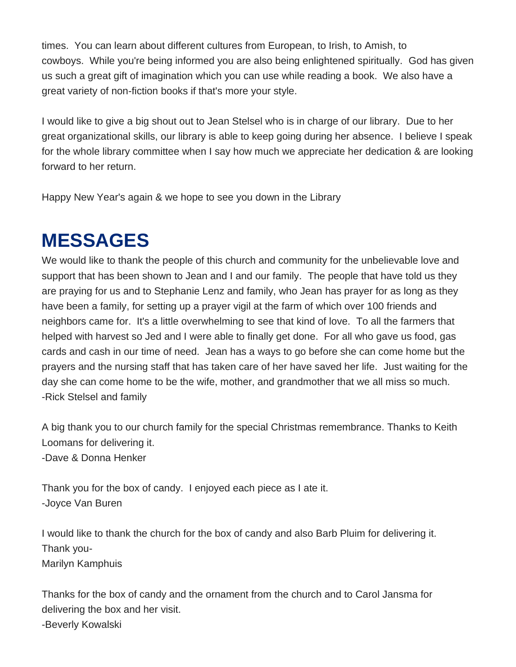times. You can learn about different cultures from European, to Irish, to Amish, to cowboys. While you're being informed you are also being enlightened spiritually. God has given us such a great gift of imagination which you can use while reading a book. We also have a great variety of non-fiction books if that's more your style.

I would like to give a big shout out to Jean Stelsel who is in charge of our library. Due to her great organizational skills, our library is able to keep going during her absence. I believe I speak for the whole library committee when I say how much we appreciate her dedication & are looking forward to her return.

Happy New Year's again & we hope to see you down in the Library

# **MESSAGES**

We would like to thank the people of this church and community for the unbelievable love and support that has been shown to Jean and I and our family. The people that have told us they are praying for us and to Stephanie Lenz and family, who Jean has prayer for as long as they have been a family, for setting up a prayer vigil at the farm of which over 100 friends and neighbors came for. It's a little overwhelming to see that kind of love. To all the farmers that helped with harvest so Jed and I were able to finally get done. For all who gave us food, gas cards and cash in our time of need. Jean has a ways to go before she can come home but the prayers and the nursing staff that has taken care of her have saved her life. Just waiting for the day she can come home to be the wife, mother, and grandmother that we all miss so much. -Rick Stelsel and family

A big thank you to our church family for the special Christmas remembrance. Thanks to Keith Loomans for delivering it. -Dave & Donna Henker

Thank you for the box of candy. I enjoyed each piece as I ate it. -Joyce Van Buren

I would like to thank the church for the box of candy and also Barb Pluim for delivering it. Thank you-Marilyn Kamphuis

Thanks for the box of candy and the ornament from the church and to Carol Jansma for delivering the box and her visit. -Beverly Kowalski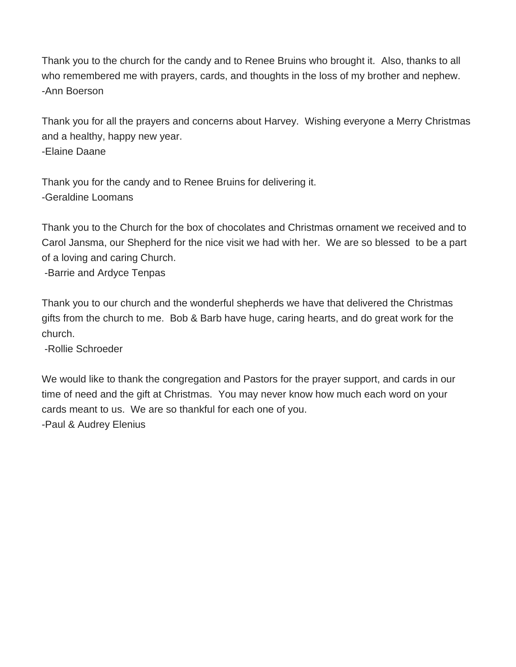Thank you to the church for the candy and to Renee Bruins who brought it. Also, thanks to all who remembered me with prayers, cards, and thoughts in the loss of my brother and nephew. -Ann Boerson

Thank you for all the prayers and concerns about Harvey. Wishing everyone a Merry Christmas and a healthy, happy new year. -Elaine Daane

Thank you for the candy and to Renee Bruins for delivering it. -Geraldine Loomans

Thank you to the Church for the box of chocolates and Christmas ornament we received and to Carol Jansma, our Shepherd for the nice visit we had with her. We are so blessed to be a part of a loving and caring Church.

-Barrie and Ardyce Tenpas

Thank you to our church and the wonderful shepherds we have that delivered the Christmas gifts from the church to me. Bob & Barb have huge, caring hearts, and do great work for the church.

-Rollie Schroeder

We would like to thank the congregation and Pastors for the prayer support, and cards in our time of need and the gift at Christmas. You may never know how much each word on your cards meant to us. We are so thankful for each one of you.

-Paul & Audrey Elenius